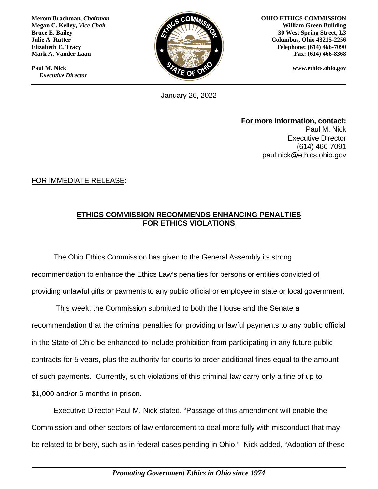**Merom Brachman,** *Chairman* **Megan C. Kelley,** *Vice Chair* **Bruce E. Bailey Julie A. Rutter Elizabeth E. Tracy Mark A. Vander Laan**

**Paul M. Nick**  *Executive Director*



**OHIO ETHICS COMMISSION William Green Building 30 West Spring Street, L3 Columbus, Ohio 43215-2256 Telephone: (614) 466-7090 Fax: (614) 466-8368**

**www.ethics.ohio.gov**

January 26, 2022

**For more information, contact:** Paul M. Nick Executive Director (614) 466-7091 paul.nick@ethics.ohio.gov

FOR IMMEDIATE RELEASE:

## **ETHICS COMMISSION RECOMMENDS ENHANCING PENALTIES FOR ETHICS VIOLATIONS**

The Ohio Ethics Commission has given to the General Assembly its strong recommendation to enhance the Ethics Law's penalties for persons or entities convicted of providing unlawful gifts or payments to any public official or employee in state or local government.

This week, the Commission submitted to both the House and the Senate a recommendation that the criminal penalties for providing unlawful payments to any public official in the State of Ohio be enhanced to include prohibition from participating in any future public contracts for 5 years, plus the authority for courts to order additional fines equal to the amount of such payments. Currently, such violations of this criminal law carry only a fine of up to \$1,000 and/or 6 months in prison.

Executive Director Paul M. Nick stated, "Passage of this amendment will enable the Commission and other sectors of law enforcement to deal more fully with misconduct that may be related to bribery, such as in federal cases pending in Ohio." Nick added, "Adoption of these